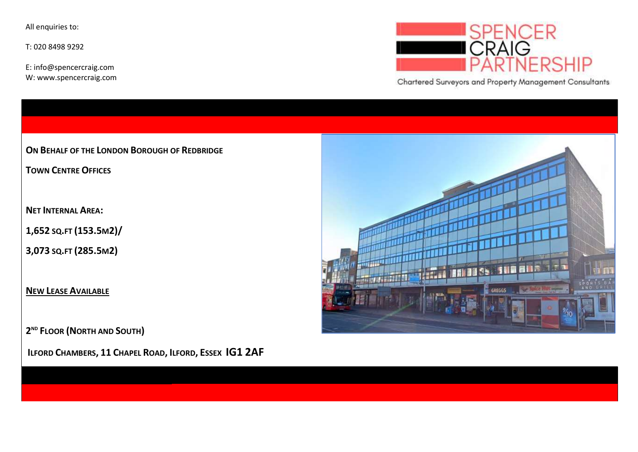All enquiries to:

T: 020 8498 9292

E: info@spencercraig.com W: www.spencercraig.com



Chartered Surveyors and Property Management Consultants

ON BEHALF OF THE LONDON BOROUGH OF REDBRIDGE

TOWN CENTRE OFFICES

NET INTERNAL AREA:

1,652 SQ.FT (153.5M2)/

3,073 SQ.FT (285.5M2)

NEW LEASE AVAILABLE

2<sup>ND</sup> FLOOR (NORTH AND SOUTH)

ILFORD CHAMBERS, 11 CHAPEL ROAD, ILFORD, ESSEX IG1 2AF